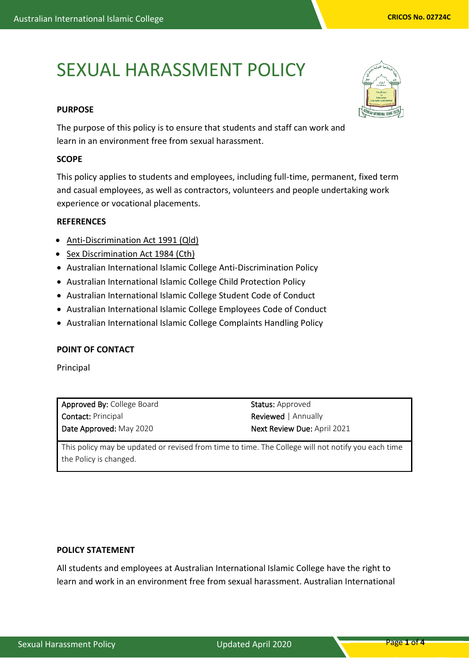# SEXUAL HARASSMENT POLICY

## **PURPOSE**

The purpose of this policy is to ensure that students and staff can work and learn in an environment free from sexual harassment.

## **SCOPE**

This policy applies to students and employees, including full-time, permanent, fixed term and casual employees, as well as contractors, volunteers and people undertaking work experience or vocational placements.

## **REFERENCES**

- [Anti-Discrimination Act 1991 \(Qld\)](https://www.legislation.qld.gov.au/LEGISLTN/CURRENT/A/AntiDiscrimA91.pdf)
- [Sex Discrimination Act 1984 \(Cth\)](http://www.comlaw.gov.au/Series/C2004A02868)
- Australian International Islamic College Anti-Discrimination Policy
- Australian International Islamic College Child Protection Policy
- Australian International Islamic College Student Code of Conduct
- Australian International Islamic College Employees Code of Conduct
- Australian International Islamic College Complaints Handling Policy

## **POINT OF CONTACT**

Principal

Approved By: College Board Contact: Principal Date Approved: May 2020

Status: Approved Reviewed | Annually Next Review Due: April 2021

This policy may be updated or revised from time to time. The College will not notify you each time the Policy is changed.

#### **POLICY STATEMENT**

All students and employees at Australian International Islamic College have the right to learn and work in an environment free from sexual harassment. Australian International

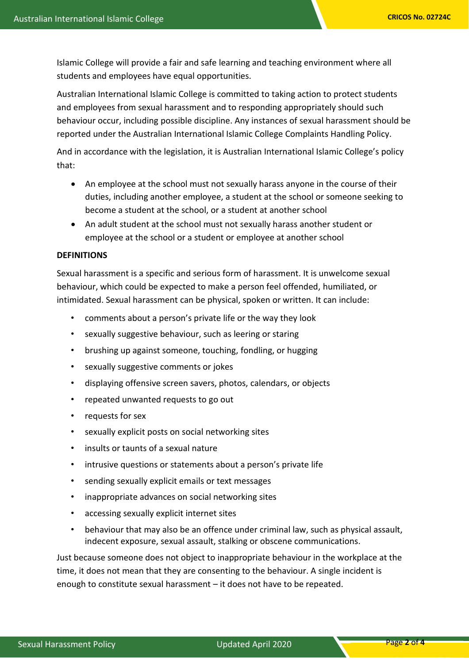Islamic College will provide a fair and safe learning and teaching environment where all students and employees have equal opportunities.

Australian International Islamic College is committed to taking action to protect students and employees from sexual harassment and to responding appropriately should such behaviour occur, including possible discipline. Any instances of sexual harassment should be reported under the Australian International Islamic College Complaints Handling Policy.

And in accordance with the legislation, it is Australian International Islamic College's policy that:

- An employee at the school must not sexually harass anyone in the course of their duties, including another employee, a student at the school or someone seeking to become a student at the school, or a student at another school
- An adult student at the school must not sexually harass another student or employee at the school or a student or employee at another school

## **DEFINITIONS**

Sexual harassment is a specific and serious form of harassment. It is unwelcome sexual behaviour, which could be expected to make a person feel offended, humiliated, or intimidated. Sexual harassment can be physical, spoken or written. It can include:

- comments about a person's private life or the way they look
- sexually suggestive behaviour, such as leering or staring
- brushing up against someone, touching, fondling, or hugging
- sexually suggestive comments or jokes
- displaying offensive screen savers, photos, calendars, or objects
- repeated unwanted requests to go out
- requests for sex
- sexually explicit posts on social networking sites
- insults or taunts of a sexual nature
- intrusive questions or statements about a person's private life
- sending sexually explicit emails or text messages
- inappropriate advances on social networking sites
- accessing sexually explicit internet sites
- behaviour that may also be an offence under criminal law, such as physical assault, indecent exposure, sexual assault, stalking or obscene communications.

Just because someone does not object to inappropriate behaviour in the workplace at the time, it does not mean that they are consenting to the behaviour. A single incident is enough to constitute sexual harassment – it does not have to be repeated.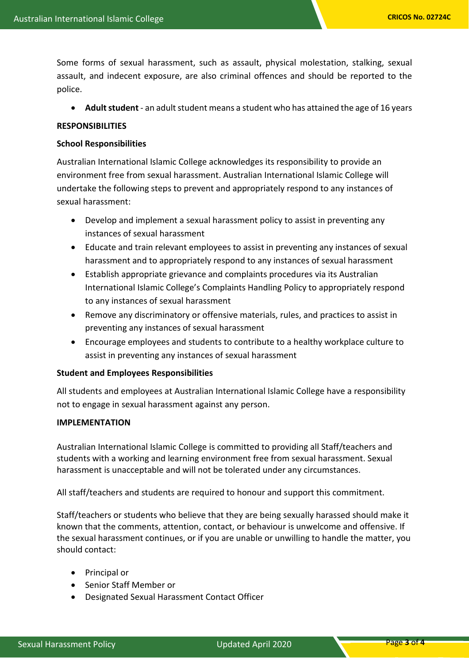Some forms of sexual harassment, such as assault, physical molestation, stalking, sexual assault, and indecent exposure, are also criminal offences and should be reported to the police.

• **Adult student** - an adult student means a student who has attained the age of 16 years

#### **RESPONSIBILITIES**

#### **School Responsibilities**

Australian International Islamic College acknowledges its responsibility to provide an environment free from sexual harassment. Australian International Islamic College will undertake the following steps to prevent and appropriately respond to any instances of sexual harassment:

- Develop and implement a sexual harassment policy to assist in preventing any instances of sexual harassment
- Educate and train relevant employees to assist in preventing any instances of sexual harassment and to appropriately respond to any instances of sexual harassment
- Establish appropriate grievance and complaints procedures via its Australian International Islamic College's Complaints Handling Policy to appropriately respond to any instances of sexual harassment
- Remove any discriminatory or offensive materials, rules, and practices to assist in preventing any instances of sexual harassment
- Encourage employees and students to contribute to a healthy workplace culture to assist in preventing any instances of sexual harassment

#### **Student and Employees Responsibilities**

All students and employees at Australian International Islamic College have a responsibility not to engage in sexual harassment against any person.

#### **IMPLEMENTATION**

Australian International Islamic College is committed to providing all Staff/teachers and students with a working and learning environment free from sexual harassment. Sexual harassment is unacceptable and will not be tolerated under any circumstances.

All staff/teachers and students are required to honour and support this commitment.

Staff/teachers or students who believe that they are being sexually harassed should make it known that the comments, attention, contact, or behaviour is unwelcome and offensive. If the sexual harassment continues, or if you are unable or unwilling to handle the matter, you should contact:

- Principal or
- Senior Staff Member or
- Designated Sexual Harassment Contact Officer